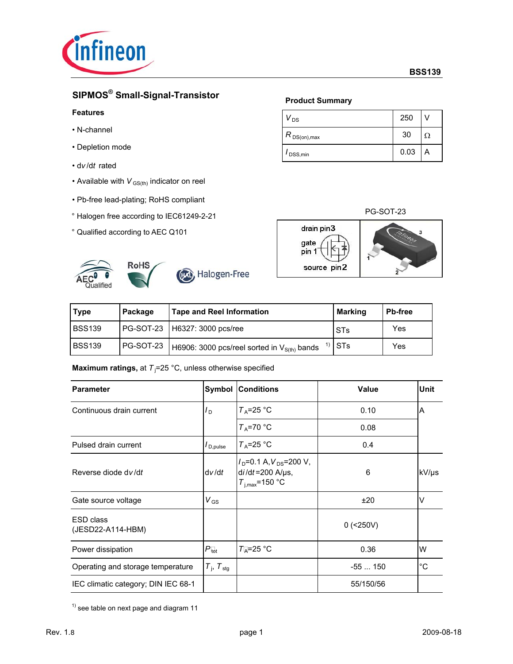

# **SIPMOS® Small-Signal-Transistor**

### **Features**

- N-channel
- Depletion mode
- d*v* /d*t* rated
- Available with  $V_{GS(th)}$  indicator on reel
- Pb-free lead-plating; RoHS compliant
- ° Halogen free according to IEC61249-2-21
- ° Qualified according to AEC Q101





(Pa) Halogen-Free

# **Product Summary**

| DS                                              | 250  |   |
|-------------------------------------------------|------|---|
| $R$ $_{\mathsf{DS}( \mathsf{on}),\mathsf{max}}$ | 30   |   |
| DSS, min                                        | 0.03 | A |

PG-SOT-23



| Type   | Package   | <b>Tape and Reel Information</b>                 | <b>Marking</b> | <b>Pb-free</b> |
|--------|-----------|--------------------------------------------------|----------------|----------------|
| BSS139 |           | PG-SOT-23   H6327: 3000 pcs/ree                  | <b>STs</b>     | Yes            |
| BSS139 | PG-SOT-23 | H6906: 3000 pcs/reel sorted in $V_{S(th)}$ bands | $1$ STs        | Yes            |

**Maximum ratings,** at T<sub>j</sub>=25 °C, unless otherwise specified

| <b>Parameter</b>                    | Symbol                            | <b>Conditions</b>                                                          | Value       | <b>Unit</b> |
|-------------------------------------|-----------------------------------|----------------------------------------------------------------------------|-------------|-------------|
| Continuous drain current            | $I_{\rm{D}}$                      | $T_A = 25$ °C                                                              | 0.10        | A           |
|                                     |                                   | $T_A = 70$ °C                                                              | 0.08        |             |
| Pulsed drain current                | $I_{\mathsf{D},\mathsf{pulse}}$   | $T_A = 25$ °C                                                              | 0.4         |             |
| Reverse diode dv/dt                 | dv/dt                             | $ID=0.1 A, VDS=200 V,$<br>$di/dt = 200$ A/ $\mu$ s,<br>$T_{i,max}$ =150 °C | 6           | kV/µs       |
| Gate source voltage                 | $V_{GS}$                          |                                                                            | ±20         | $\vee$      |
| ESD class<br>(JESD22-A114-HBM)      |                                   |                                                                            | $0$ (<250V) |             |
| Power dissipation                   | $P_{\text{tot}}$                  | $T_A = 25$ °C                                                              | 0.36        | W           |
| Operating and storage temperature   | $T_{\text{I}}$ , $T_{\text{stg}}$ |                                                                            | $-55150$    | $^{\circ}C$ |
| IEC climatic category; DIN IEC 68-1 |                                   |                                                                            | 55/150/56   |             |

 $1)$  see table on next page and diagram 11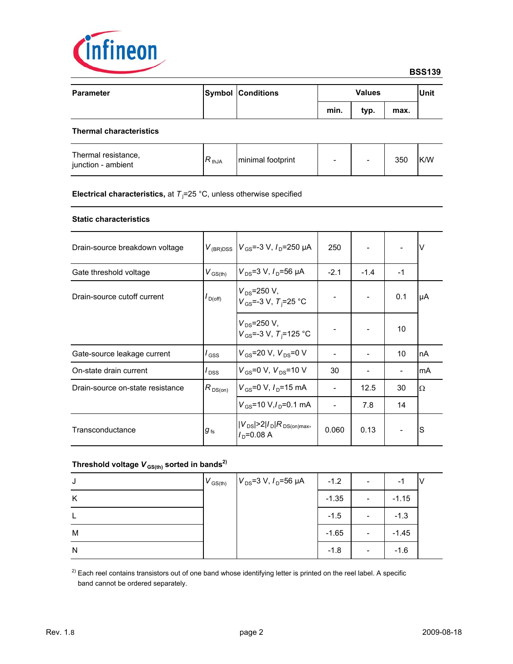

| <b>Parameter</b> | <b>Symbol Conditions</b> | <b>Values</b> |      | <b>Unit</b> |  |
|------------------|--------------------------|---------------|------|-------------|--|
|                  |                          | min.          | typ. | max.        |  |
|                  |                          |               |      |             |  |

### **Thermal characteristics**

| Thermal resistance,<br>iunction - ambient | $\nabla$ thJA | minimal footprint | $\overline{\phantom{0}}$ |  | 350 | <b>K/W</b> |
|-------------------------------------------|---------------|-------------------|--------------------------|--|-----|------------|
|-------------------------------------------|---------------|-------------------|--------------------------|--|-----|------------|

### **Electrical characteristics,** at  $T<sub>j</sub>$ =25 °C, unless otherwise specified

### **Static characteristics**

| Drain-source breakdown voltage   | $V_{\rm (BR)DSS}$ | $V_{\text{GS}}$ =-3 V, $I_{\text{D}}$ =250 µA                  | 250    |        |      | $\vee$    |
|----------------------------------|-------------------|----------------------------------------------------------------|--------|--------|------|-----------|
| Gate threshold voltage           | $V_{GS(th)}$      | $V_{DS}$ =3 V, $I_{D}$ =56 µA                                  | $-2.1$ | $-1.4$ | $-1$ |           |
| Drain-source cutoff current      | $I_{D(off)}$      | $V_{DS} = 250 V,$<br>$V_{GS}$ =-3 V, T <sub>i</sub> =25 °C     |        |        | 0.1  | μA        |
|                                  |                   | $V_{DS} = 250 V,$<br>$V_{GS}$ =-3 V, T <sub>i</sub> =125 °C    |        |        | 10   |           |
| Gate-source leakage current      | $I_{\rm GSS}$     | $V_{\rm GS}$ =20 V, $V_{\rm DS}$ =0 V                          |        |        | 10   | InA       |
| On-state drain current           | $I_{\rm DSS}$     | $V_{GS}$ =0 V, $V_{DS}$ =10 V                                  | 30     |        |      | <b>mA</b> |
| Drain-source on-state resistance | $R_{DS(on)}$      | $V_{\text{GS}} = 0 \text{ V}, I_{\text{D}} = 15 \text{ mA}$    |        | 12.5   | 30   | Ω         |
|                                  |                   | $V_{\rm GS}$ =10 V, $I_{\rm D}$ =0.1 mA                        |        | 7.8    | 14   |           |
| Transconductance                 | $g_{\,\rm fs}$    | $ V_{DS} $ >2 $ I_D R_{DS(on)max}$ ,<br>/ <sub>∩</sub> =0.08 A | 0.060  | 0.13   |      | S         |

# Threshold voltage  $V_{GS(th)}$  sorted in bands<sup>2)</sup>

| J | $V_{\text{GS(th)}}$ | $V_{DS}$ =3 V, $I_D$ =56 µA | $-1.2$  | - | -       |  |
|---|---------------------|-----------------------------|---------|---|---------|--|
| K |                     |                             | $-1.35$ |   | $-1.15$ |  |
|   |                     |                             | $-1.5$  |   | $-1.3$  |  |
| M |                     |                             | $-1.65$ |   | $-1.45$ |  |
| N |                     |                             | $-1.8$  |   | $-1.6$  |  |

 $2)$  Each reel contains transistors out of one band whose identifying letter is printed on the reel label. A specific band cannot be ordered separately.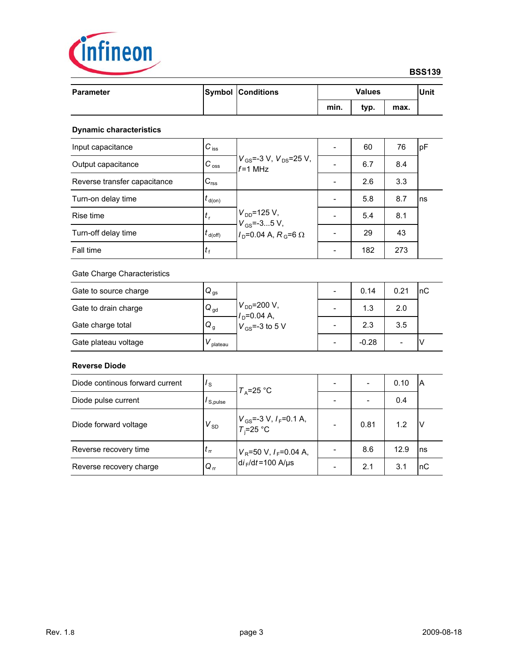

# **BSS139**

| <b>Parameter</b>                |                      | <b>Symbol Conditions</b>                           | <b>Values</b>            |                          |                | Unit |  |
|---------------------------------|----------------------|----------------------------------------------------|--------------------------|--------------------------|----------------|------|--|
|                                 |                      |                                                    | min.                     | typ.                     | max.           |      |  |
| <b>Dynamic characteristics</b>  |                      |                                                    |                          |                          |                |      |  |
| Input capacitance               | $C_{\text{iss}}$     |                                                    | L,                       | 60                       | 76             | pF   |  |
| Output capacitance              | $C_{\text{oss}}$     | $V_{GS}$ =-3 V, $V_{DS}$ =25 V,<br>$f = 1$ MHz     |                          | 6.7                      | 8.4            |      |  |
| Reverse transfer capacitance    | $C_{\text{rss}}$     |                                                    |                          | 2.6                      | 3.3            |      |  |
| Turn-on delay time              | $t_{\sf d(0n)}$      |                                                    |                          | 5.8                      | 8.7            | ns   |  |
| Rise time                       | $t_{\rm r}$          | $V_{DD} = 125 V,$<br>$V_{GS} = -35$ V,             |                          | 5.4                      | 8.1            |      |  |
| Turn-off delay time             | $t_{\rm d(Off)}$     | $I_{\text{D}}$ =0.04 A, R <sub>G</sub> =6 $\Omega$ |                          | 29                       | 43             |      |  |
| Fall time                       | $t_{\rm f}$          |                                                    | $\blacksquare$           | 182                      | 273            |      |  |
| Gate Charge Characteristics     |                      |                                                    |                          |                          |                |      |  |
| Gate to source charge           | $Q_{gs}$             |                                                    | $\overline{\phantom{a}}$ | 0.14                     | 0.21           | nC   |  |
| Gate to drain charge            | $Q_{gd}$             | $V_{DD} = 200 V,$<br>$ID=0.04 A,$                  |                          | 1.3                      | 2.0            |      |  |
| Gate charge total               | Q <sub>g</sub>       | $V_{GS}$ =-3 to 5 V                                |                          | 2.3                      | 3.5            |      |  |
| Gate plateau voltage            | $V_{\text{plateau}}$ |                                                    | $\overline{a}$           | $-0.28$                  | $\overline{a}$ | V    |  |
| <b>Reverse Diode</b>            |                      |                                                    |                          |                          |                |      |  |
| Diode continous forward current | $I_{\rm S}$          | $T_A = 25$ °C                                      | $\overline{a}$           | $\overline{\phantom{a}}$ | 0.10           | A    |  |
| Diode pulse current             | $I_{S, pulse}$       |                                                    | $\overline{a}$           |                          | 0.4            |      |  |
| Diode forward voltage           | $V_{SD}$             | $V_{GS}$ =-3 V, $I_F$ =0.1 A,<br>$T_i = 25$ °C     | $\overline{a}$           | 0.81                     | 1.2            | V    |  |
| Reverse recovery time           | $t_{\rm rr}$         | $V_R$ =50 V, $I_F$ =0.04 A,                        | $\overline{\phantom{a}}$ | 8.6                      | 12.9           | ns   |  |
| Reverse recovery charge         | $Q_{rr}$             | $di$ <sub>F</sub> /dt=100 A/µs                     |                          | 2.1                      | 3.1            | nC   |  |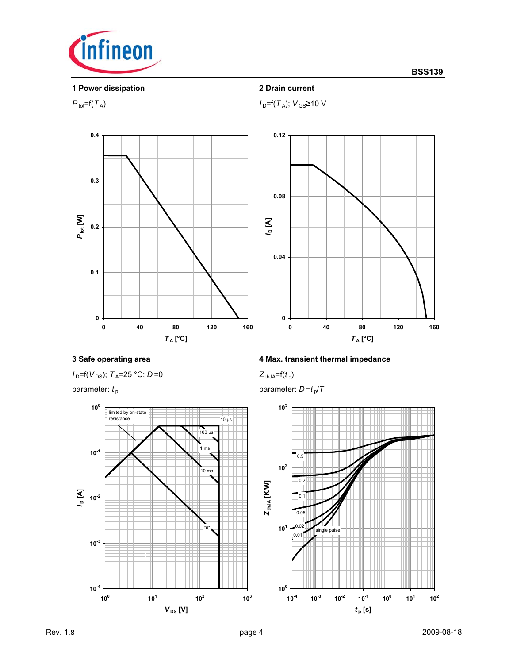

**1 Power dissipation 2 Drain current**



 $P_{\text{tot}}=f(T_A); V_{\text{GS}}\geq 10 \text{ V}$ 







# **3 Safe operating area 4 Max. transient thermal impedance**

parameter:  $t_p$  parameter:  $D = t_p/T$ 

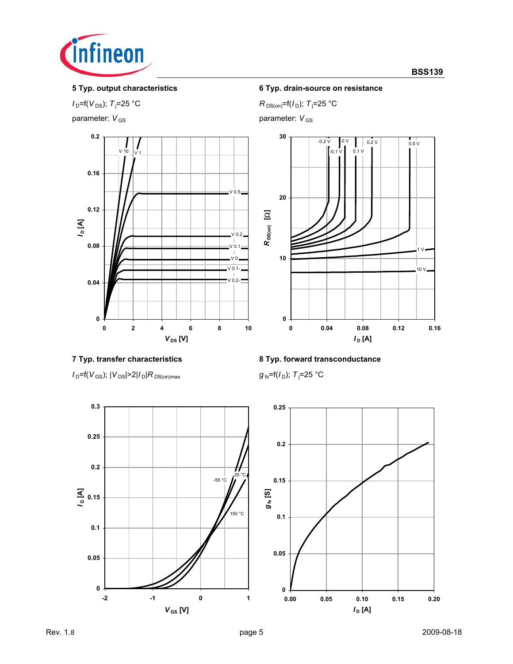

 $I_{D}$ =f( $V_{DS}$ );  $T_{j}$ =25 °C

parameter:  $V_{\text{GS}}$  parameter: *V*<sub>GS</sub>



# **5 Typ. output characteristics 6 Typ. drain-source on resistance**

 $R_{DS(on)} = f(I_D); T_j = 25 °C$ 



 $I_D$ =f( $V_{GS}$ );  $|V_{DS}|$ >2| $I_D$ | $R_{DS(on)max}$ 

# **7 Typ. transfer characteristics 8 Typ. forward transconductance**

 $g_{fs}$ =f( $I_D$ ); T<sub>i</sub>=25 °C



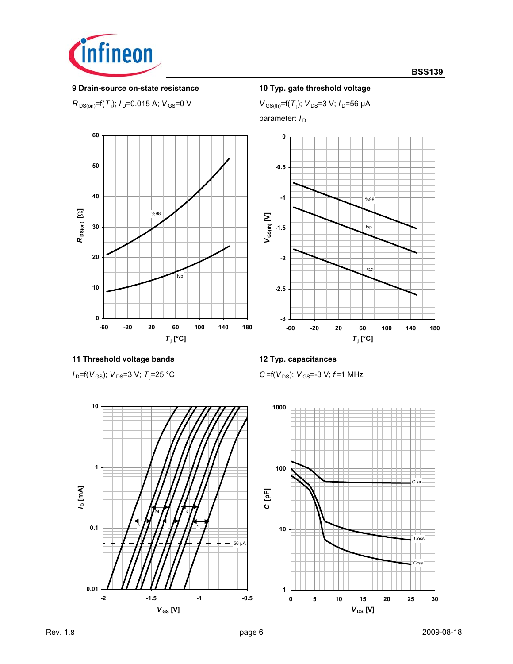

# **9 Drain-source on-state resistance 10 Typ. gate threshold voltage**

 $R$ <sub>DS(on)</sub>=f(*T*<sub>j</sub>); *I*<sub>D</sub>=0.015 A; *V*<sub>GS</sub>=0 V *V*<sub>GS(th)</sub>=f(*T*<sub>j</sub>

 $V_{\text{GS(th)}}$ =f(T<sub>j</sub>);  $V_{\text{DS}}$ =3 V;  $I_{\text{D}}$ =56 µA

parameter:  $I_D$ 





# %2 **-3 -2.5 -2 -60 -20 20 60 100 140 180**  $T_i$  [°C]

# **11 Threshold voltage bands 12 Typ. capacitances**

 $I_{D}$ =f( $V_{GS}$ );  $V_{DS}$ =3 V;  $T_{i}$ =25 °C

C=f( $V_{DS}$ );  $V_{GS}$ =-3 V; *f*=1 MHz

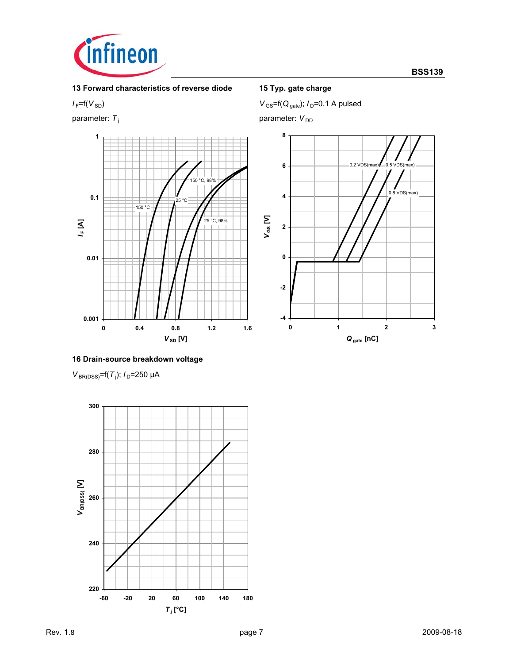

**13 Forward characteristics of reverse diode 15 Typ. gate charge**



 $V_{\text{GS}} = f(V_{\text{SD}})$  *V* GS =  $f(Q_{\text{gate}})$ ; *I*<sub>D</sub>=0.1 A pulsed

parameter:  $T_j$  parameter: *V*<sub>DD</sub>



# **16 Drain-source breakdown voltage**

*V*<sub>BR(DSS)</sub>=f(*T*<sub>j</sub>); *I*<sub>D</sub>=250 µA

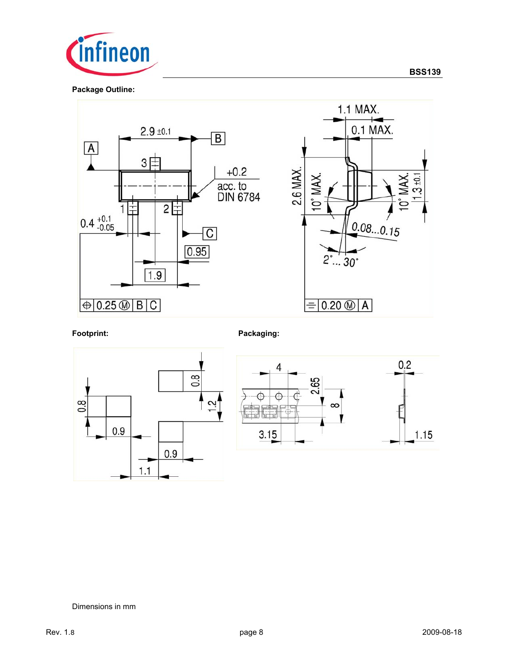



Footprint: Packaging:





### Dimensions in mm